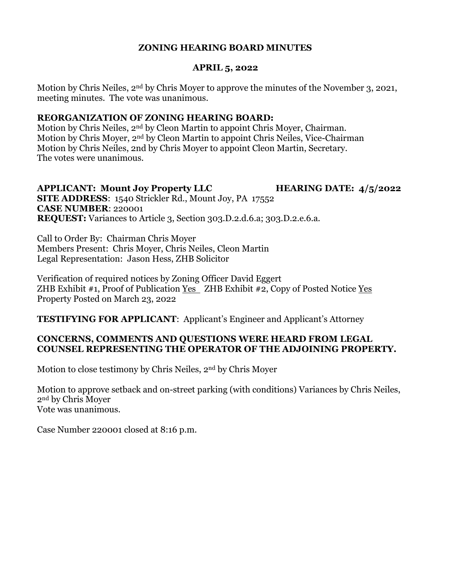### **ZONING HEARING BOARD MINUTES**

#### **APRIL 5, 2022**

Motion by Chris Neiles, 2nd by Chris Moyer to approve the minutes of the November 3, 2021, meeting minutes. The vote was unanimous.

#### **REORGANIZATION OF ZONING HEARING BOARD:**

Motion by Chris Neiles, 2nd by Cleon Martin to appoint Chris Moyer, Chairman. Motion by Chris Moyer, 2nd by Cleon Martin to appoint Chris Neiles, Vice-Chairman Motion by Chris Neiles, 2nd by Chris Moyer to appoint Cleon Martin, Secretary. The votes were unanimous.

#### **APPLICANT: Mount Joy Property LLC HEARING DATE: 4/5/2022 SITE ADDRESS**: 1540 Strickler Rd., Mount Joy, PA 17552 **CASE NUMBER**: 220001 **REQUEST:** Variances to Article 3, Section 303.D.2.d.6.a; 303.D.2.e.6.a.

Call to Order By: Chairman Chris Moyer Members Present: Chris Moyer, Chris Neiles, Cleon Martin Legal Representation: Jason Hess, ZHB Solicitor

Verification of required notices by Zoning Officer David Eggert ZHB Exhibit #1, Proof of Publication Yes ZHB Exhibit #2, Copy of Posted Notice Yes Property Posted on March 23, 2022

**TESTIFYING FOR APPLICANT**: Applicant's Engineer and Applicant's Attorney

### **CONCERNS, COMMENTS AND QUESTIONS WERE HEARD FROM LEGAL COUNSEL REPRESENTING THE OPERATOR OF THE ADJOINING PROPERTY.**

Motion to close testimony by Chris Neiles, 2nd by Chris Moyer

Motion to approve setback and on-street parking (with conditions) Variances by Chris Neiles, 2nd by Chris Moyer Vote was unanimous.

Case Number 220001 closed at 8:16 p.m.